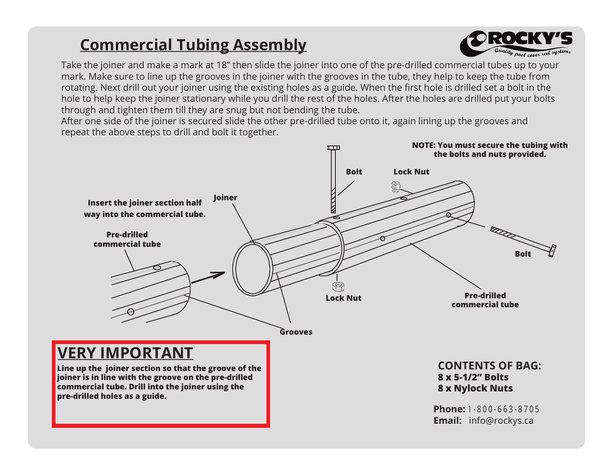## **Commercial Tubing Assembly**



Take the joiner and make a mark at 18'' then slide the joiner into one of the pre-drilled commercial tubes up to your mark. Make sure to line up the grooves in the joiner with the grooves in the tube, they help to keep the tube from rotating. Next drill out your joiner using the existing holes as a guide. When the first hole is drilled set a bolt in the hole to help keep the joiner stationary while you drill the rest of the holes. After the holes are drilled put your bolts through and tighten them till they are snug but not bending the tube.

After one side of the joiner is secured slide the other pre-drilled tube onto it, again lining up the grooves and repeat the above steps to drill and bolt it together.